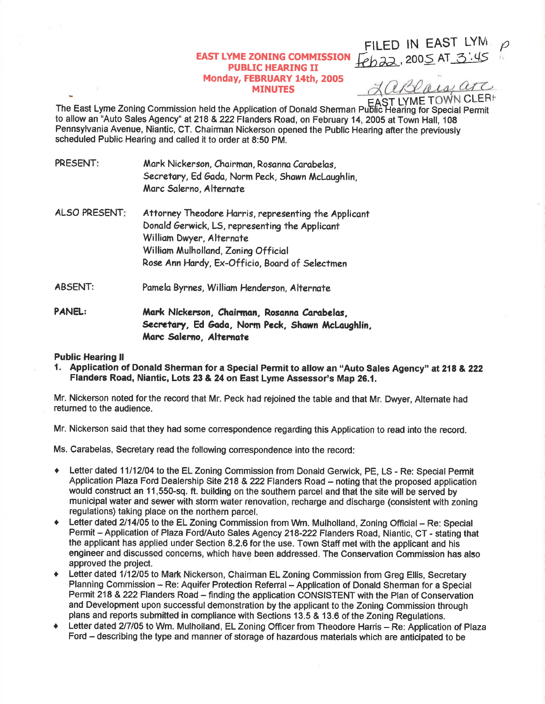## EAST LYME ZONING COMMISSION **PUBLIC HEARING II** Monday, FEBRUARY 14th, 2005 MINUTES

LaBlais arc **ST LYME TOWN CLERE** 

FILED IN EAST LYMI  $Feb$ 22, 2005 AT 3:45  $\overline{\rho}$ 

)l

EAST LYME TOWN CLEF<br>The East Lyme Zoning Commission held the Application of Donald Sherman Public Hearing for Special Permit to allow an "Auto Sales Agency" at 218 & 222 Flanders Road, on February 14, 2005 at Town Hall, 108 Pennsylvania Avenue, Niantic, CT. Chairman Nickerson opened the Public Hearing afterthe previously scheduled Public Hearing and called it to order at 8:50 PM.

- PRESENT: Mark Nickerson, Chairman, Rosanna Carabelas, Secretary, Ed Gada, Norm Peck, Shawn McLaughlin, Marc Salerno, Alternate
- ALSO PRESENT: Attorney Theodore Harris, representing the Applicant Donald Gerwick, LS, representing the Applicant William Dwyer, Alternate William Mulholland, Zoning Official Rose Ann Hardy, Ex-Officio, Board of Selectmen
- ABSENT: Pamela Byrnes, William Henderson, Alternate
- PANEL: Mark Nickerson, Chairman, Rosanna Carabelas, Secretary, Ed Gada, Norm Peck, Shawn McLaughlin, Marc Salerno, Alternate

## Public Hearing ll

1. Application of Donald Sherman for a Special Permit to allow an "Auto Sales Agency" at 218 & 222 Flanders Road, Niantic, Lots 23 & 24 on East Lyme Assessor's Map 26.1.

Mr. Nickerson noted for the record that Mr. Peck had rejoined the table and that Mr. Dwyer, Alternate had returned to the audience.

Mr. Nickerson said that they had some correspondence regarding this Application to read into the record.

Ms. Carabelas, Secretary read the following conespondence into the record:

- Letter dated 11/12/04 to the EL Zoning Commission from Donald Gerwick, PE, LS Re: Special Permit Application Plaza Ford Dealership Site 218 & 222 Flanders Road - noting that the proposed application would construct an 11,550-sq. ft. building on the southern parcel and that the site will be served by municipal water and sewer with storm water renovation, recharge and discharge (consistent with zoning regulations) taking place on the northern parcel.
- + Letter dated 2/14/05 to the EL Zoning Commission from Wm. Mulholland, Zoning Official Re: Special Permit - Application of Plaza Ford/Auto Sales Agency 218-222 Flanders Road, Niantic, CT - stating that the applicant has applied under Section 8.2.6 for the use. Town Staff met with the applicant and his engineer and discussod concems, which have been addressed. The Conservation Commission has also approved the project.
- Letter dated 1/12/05 to Mark Nickerson, Chairman EL Zoning Commission from Greg Ellis, Secretary Planning Commission - Re: Aquifer Protection Referral - Application of Donald Sherman for a Special Permit 218 & 222 Flanders Road - finding the application CONSISTENT with the Plan of Conservation and Development upon successful demonstration by the applicant to the Zoning Commission through plans and reports submitted in compliance with Sections 13.5 & 13.6 of the Zoning Regulations.
- Letter dated 2/7/05 to Wm. Mulholland, EL Zoning Officer from Theodore Harris Re: Application of Plaza Ford - describing the type and manner of storage of hazardous materials which are anticipated to be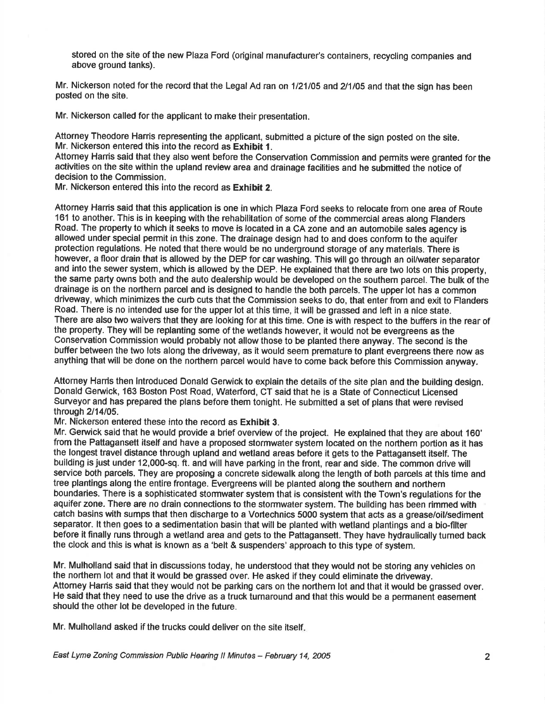stored on the site of the new Plaza Ford (original manufacturer's containers, recycling companies and above ground tanks).

Mr. Nickerson noted for the record that the Legal Ad ran on 1/21/05 and 2/1/05 and that the sign has been posted on the site.

Mr. Nickerson called for the applicant to make their presentation.

Attorney Theodore Harris representing the applicant, submitted a picture of the sign posted on the site. Mr. Nickerson entered this into the record as Exhibit 1.

Attomey Harris said that they also went before the Conservation Commission and permits were granted for the activities on the site within the upland review area and drainage facilities and he submitted the notice of decision to the Commission.

Mr. Nickerson entered this into the record as Exhibit 2.

Attorney Harris said that this application is one in which Plaza Ford seeks to relocate from one area of Route 161 to another. This is in keeping with the rehabilitation of some of the commercial areas along Flanders Road. The property to which it seeks to move is located in a CA zone and an automobile sales agency is allowed under special permit in this zone. The drainage design had to and does conform to the aquifer protection regulations. He noted that there would be no underground storage of any materials. There is however, a floor drain that is allowed by the DEP for car washing. This will go through an oil/water separator and into the sewer system, which is allowed by the DEP. He explained that there are two lots on this property, the same party owns both and the auto dealership would be developed on the southem parcel. The bulk of the drainage is on the northern parcel and is designed to handle the both parcels. The upper lot has a common driveway, which minimizes the curb cuts that the Commission seeks to do, that enter from and exit to Flanders Road. There is no intended use for the upper lot at this time, it will be grassed and left in a nice state. There are also two waivers that they are looking for at this time. One is with respect to the buffers in the rear of the property. They will be replanting some of the wetlands however, it would not be evergreens as the Conservation Commission would probably not allow those to be planted there anyway. The second is the buffer between the two lots along the driveway, as it would seem premature to plant evergreens there now as anything that will be done on the northern parcel would have to come back before this Commission anyway.

Attorney Harris then introduced Donald Gerwick to explain the details of the site plan and the building design. Donald Gerwick, 163 Boston Post Road, Waterford, CT said that he is a State of Connecticut Licensed Surveyor and has prepared the plans before them tonight. He submitted a set of plans that were revised through 2/14/05.

Mr. Nickerson entered these into the record as Exhibit 3.

Mr. Gerwick said that he would provide a brief overview of the project. He explained that they are about 160' from the Pattagansett itself and have a proposed stormwater system located on the northern portion as it has the longest travel distance through upland and wetland areas before it gets to the Paftagansett itself. The building is just under 12,000-sq. ft. and will have parking in the front, rear and side. The common drive will service both parcels. They are proposing a concrete sidewalk along the length of both parcels at this time and tree plantings along the entire frontage. Evergreens will be planted along the southern and northern boundaries. There is a sophisticated stormwater system that is consistent with the Town's regulations for the aquifer zone. There are no drain connections to the stormwater system. The building has been rimmed with catch basins with sumps that then discharge to a Vortechnics 5000 system that acts as a grease/oil/sediment separator. lt then goes to a sedimentation basin that will be planted with wetland plantings and a bio-fllter before it finally runs through a wetland area and gets to the Pattagansett. They have hydraulically turned back the clock and this is what is known as a 'belt & suspenders' approach to this type of system.

Mr. Mulholland said that in discussions today, he understood that they would not be storing any vehicles on the northern lot and that it would be grassed over. He asked if they could eliminate the driveway. Attomey Hanis said that they would not be parking cars on the northern lot and that it would be grassed over. He said that they need to use the drive as a truck tumaround and that this would be a permanent easement should the other lot be developed in the future.

Mr. Mulholland asked if the trucks could deliver on the site itself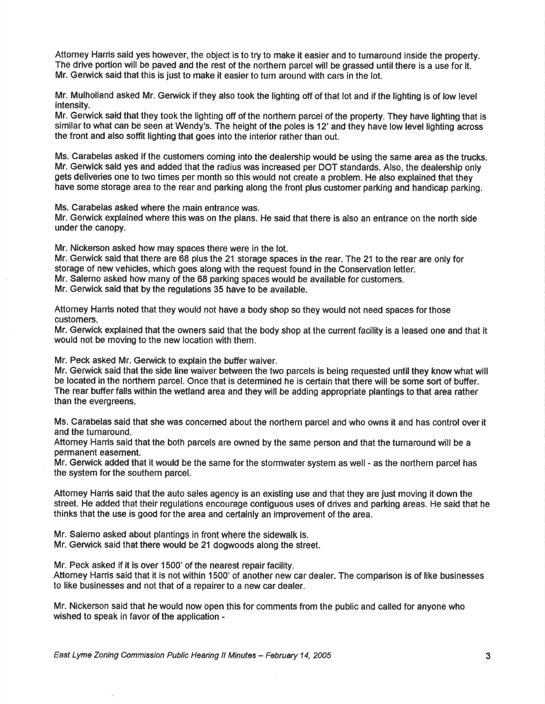Attorney Hanis said yes however, the object is to try to make it easier and to turnaround inside the property. The drive portion will be paved and the rest of the northern parcel will be grassed until there is a use for it. Mr. Gerwick said that this is just to make it easier to turn around with cars in the lot.

Mr. Mulholland asked Mr. Gerwick if they also took the lighting off of that lot and if the lighting is of low level intensity.

Mr. Gerwick said that they took the lighting off of the northern parcel of the property. They have lighting that is similar to what can be seen at Wendy's. The height of the poles is 12' and they have low level lighting across the front and also soffit lighting that goes into the interior rather than out.

Ms. Carabelas asked if the customers coming into the dealership would be using the same area as the trucks. Mr. Gerwick sald yes and added that the radius was increased per DOT standards. Also, the dealership only gets deliveries one to two times per month so this would not create a problem. He also explained that they have some storage area to the rear and parking along the front plus customer parking and handicap parking.

Ms. Carabelas asked where the main entrance was.

Mr. Gerwick explained where this was on the plans. He said that there is also an entrance on the north side under the canopy.

Mr. Nickerson asked how may spaces there were in the lot.

Mr. Gerwick said that there are 68 plus the 21 storage spaces in the rear. The 21 to the rear are only for storage of new vehicles, which goes along with the request found in the Conservation letter. Mr. Salerno asked how many of the 68 parking spaces would be available for customers.

Mr. Gerwick said that by the regulations 35 have to be available.

Attomey Harris noted that they would not have a body shop so they would not need spaces for those customers.

Mr. Gerwick explained that the owners said that the body shop at the current facility is a leased one and that it would not be moving to the new location with them.

Mr. Peck asked Mr. Gerwick to explain the buffer waiver.

Mr. Gerwick said that the side line waiver between the two parcels is being requested unti! they know what will be located in the northem parcel. Once that is determined he is certain that there will be some sort of buffer. The rear bufferfalls within the wetland area and they will be adding appropriate plantings to that area rather than the evergreens.

Ms. Carabelas said that she was concerned about the northern parcel and who owns it and has control over it and the turnaround.

Attomey Harris said that the both parcels are owned by the same person and that the turnaround will be a permanent easement.

Mr. Gerwick added that it would be the same for the stormwater system as well - as the northern parcel has the system for the southern parcel.

Attomey Harris said that the auto sales agency is an existing use and that they are just moving it down the street. He added that their regulations encourage contiguous uses of drives and parking areas. He said that he thinks that the use is good for the area and certainly an improvement of the area.

Mr. Salemo asked about plantings in front where the sidewalk is. Mr. Gerwick said that there would be 21 dogwoods along the street.

Mr. Peck asked if it is over 1500' of the nearest repair facility.

Attomey Harris said that it is not within 1500' of another new car dealer. The comparison is of like businesses to like businesses and not that of a repairer to a new car dealer.

Mr. Nickerson said that he would now open this for comments from the public and called for anyone who wished to speak in favor of the application -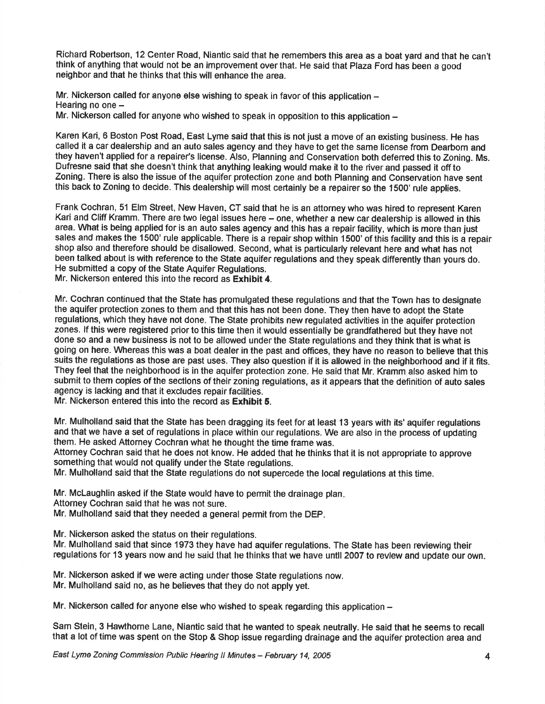Richard Robertson, 12 Center Road, Niantic said that he remembers this area as a boat yard and that he cant think of anything that would not be an improvement over that. He said that Plaza Ford has been a good neighbor and that he thinks that this will enhance the area.

Mr. Nickerson called for anyone else wishing to speak in favor of this application -Hearing no one -

Mr. Nickerson called for anyone who wished to speak in opposition to this application  $-$ 

Karen Kari, 6 Boston Post Road, East Lyme said that this is not just a move of an existing business. He has called it a car dealership and an auto sales agency and they have to get the same license from Dearborn and they haven't applied for a repairer's license. Also, Planning and Conservation both deferred this to Zoning. Ms. Dufresne said that she doesn't think that anything leaking would make it to the river and passed it off to Zoning. There is also the issue of the aquifer protection zone and both Planning and Conservation have sent this back to Zoning to decide. This dealership will most certainly be a repairer so the 1500' rule applies.

Frank Cochran, 51 Elm Street, New Haven, CT said that he is an attorney who was hired to represent Karen Kari and Cliff Kramm. There are two legal issues here - one, whether a new car dealership is allowed in this area. What is being applied for is an auto sales agency and this has a repair facility, which is more than just sales and makes the 1500' rule applicable. There is a repair shop within 1500' of this facility and this is a repair shop also and therefore should be disallowed. Second, what is particularly relevant here and what has not been talked about is with reference to the State aquifer regulations and they speak differently than yours do. He submitted a copy of the State Aquifer Regulations.

Mr. Nickerson entered this into the record as Exhibit 4.

Mr. Cochran continued that the State has promulgated these regulations and that the Town has to designate the aquifer protection zones to them and that this has not been done. They then have to adopt the State regulations, which they have not done. The State prohibits new regulated activities in the aquifer protection zones. lf this were registered prior to this time then it would essentially be grandfathered but they have not done so and a new business is not to be allowed under the State regulations and they think that is what is going on here. Whereas this was a boat dealer in the past and offices, they have no reason to believe that this suits the regulations as those are past uses. They also question if it is allowed in the neighborhood and if it fits. They feel that the neighborhood is in the aquifer protection zone. He said that Mr. Kramm also asked him to submit to them copies of the sectlons of their zoning regulations, as it appears that the definition of auto sales agency is lacking and that it excludes repair facilities.

Mr. Nickerson entered this into the record as Exhibit 5.

Mr. Mulholland said that the State has been dragging its feet for at least 13 years with its' aquifer regulations and that we have a set of regulations in place within our regulations. We are also in the process of updating them. He asked Attorney Cochran what he thought the time frame was.

Attorney Cochran said that he does not know. He added that he thinks that it is not appropriate to approve something that would not qualify under the State regulations.

Mr. Mulholland said that the State regulations do not supercede the local regulations at this time.

Mr. Mclaughlin asked if the State would have to permit the drainage plan Attorney Cochran said that he was not sure.

Mr. Mulholland said that they needed a general permit from the DEP.

Mr. Nickerson asked the status on their regulations.

Mr. Mulholland said that since 1973 they have had aquifer regulations. The State has been reviewing their regulations for 13 years now and he said that he thinks that we have until 2007 to revlew and update our own.

Mr. Nickerson asked if we were acting under those State regulations now. Mr. Mulholland said no, as he believes that they do not apply yet.

Mr. Nickerson called for anyone else who wished to speak regarding this application  $-$ 

Sam Stein, 3 Hawthorne Lane, Niantic said that he wanted to speak neutrally. He said that he seems to recall that a lot of time was spent on the Stop & Shop issue regarding drainage and the aquifer protection area and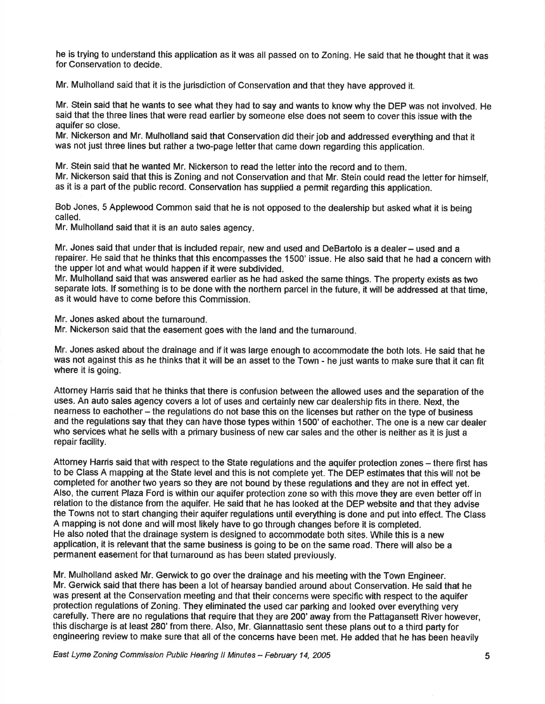he is trying to understand this application as it was all passed on to Zoning. He said that he thought that it was for Conseruation to decide,

Mr. Mulholland said that it is the jurisdiction of Conservation and that they have approved it.

Mr. Stein said that he wants to see what they had to say and wants to know why the DEP was not involved. He said that the three lines that were read earlier by someone else does not seem to cover this issue with the aquifer so close.

Mr. Nickerson and Mr. Mulholland said that Conservation did their job and addressed everything and that it was not just three lines but rather a two-page letter that came down regarding this application.

Mr. Stein said that he wanted Mr. Nickerson to read the letter into the record and to them. Mr. Nickerson said that this is Zoning and not Conservation and that Mr. Stein could read the letter for himself, as it is a part of the public record. Conservation has supplied a permit regarding this application.

Bob Jones, 5 Applewood Common said that he is not opposed to the dealership but asked what it is being called.

Mr. Mulholland said that it is an auto sales agency.

Mr. Jones said that under that is included repair, new and used and DeBartolo is a dealer - used and a repairer. He said that he thinks that this encompasses the 1500' issue. He also said that he had a concern with the upper lot and what would happen if it were subdivided.

Mr. Mulholland said that was answered earlier as he had asked the same things. The property exists as two separate lots. lf something is to be done with the northern parcel in the future, it will be addressed at that time, as it would have to come before this Commission.

Mr. Jones asked about the turnaround.

Mr. Nickerson said that the easement goes with the land and the turnaround

Mr. Jones asked about the drainage and if it was large enough to accommodate the both lots. He said that he was not against this as he thinks that it will be an asset to the Town - he just wants to make sure that it can fit where it is going.

Attorney Harris said that he thinks that there is confusion between the allowed uses and the separation of the uses. An auto sales agency covers a lot of uses and certainly new car dealership fits in there. Next, the nearness to eachother - the regulations do not base this on the licenses but rather on the type of business and the regulations say that they can have those types within 1500' of eachother. The one is a new car dealer who services what he sells with a primary business of new car sales and the other is neither as it is just a repair facility.

Attorney Harris said that with respect to the State regulations and the aquifer protection zones – there first has to be Class A mapping at the State level and this is not complete yet. The DEP estimates that this will not be completed for another two years so they are not bound by these regulations and they are not in effect yet. Also, the cunent Plaza Ford is within our aquifer protection zone so with this move they are even better off in relation to the distance from the aquifer. He said that he has looked at the DEP website and that they advise the Towns not to start changing their aquifer regulations until everything is done and put into effect. The Class A mapping is not done and will most likely have to go through changes before it is completed. He also noted that the drainage system is designed to accommodate both sites, While this is a new application, it is relevant that the same business is going to be on the same road. There will also be a permanent easement for that turnaround as has been stated previously.

Mr. Mulholland asked Mr. Gerwick to go over the drainage and his meeting with the Town Engineer. Mr. Gerwick said that there has been a lot of hearsay bandied around about Conservation. He said that he was present at the Conservation meeting and that their concerns were specific with respect to the aquifer protection regulations of Zoning. They eliminated the used car parking and looked over everything very carefully. There are no regulations that require that they are 200' away from the Pattagansett River however, this discharge is at least 280'from there. Also, Mr. Giannattasio sent these plans out to a third party for engineering review to make sure that all of the concerns have been met. He added that he has been heavily

East Lyme Zoning Commission Public Hearing II Minutes - February 14, 2005 **5**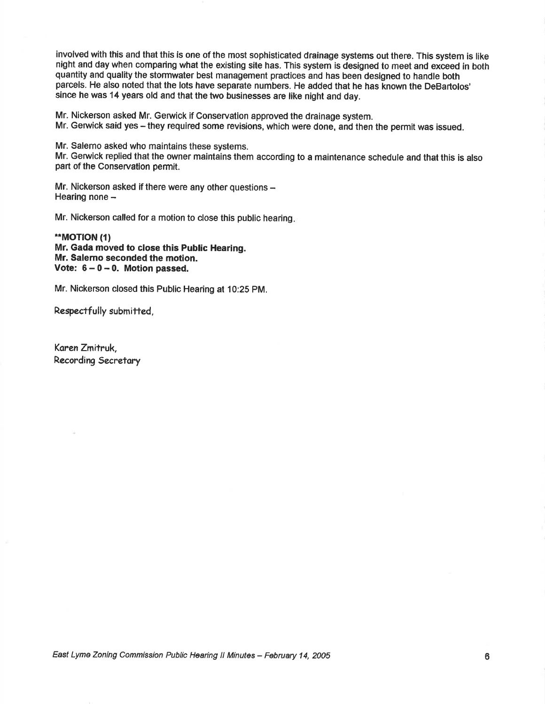involved with this and that this is one of the most sophisticated drainage systems out there. This system is like night and day when comparing what the existing site has. This system is designed to meet and exceed in both quantity and quality the stormwater best management practices and has been designed to handle both parcels. He also noted that the lots have separate numbers. He added that he has known the DeBartolos' since he was 14 years old and that the two businesses are like night and day.

Mr. Nickerson asked Mr. Gerwick if conservation approved the drainage system.

Mr. Gerwick said yes - they required some revisions, which were done, and then the permit was issued.

Mr. Salerno asked who maintains these systems.

Mr. Gerwick replied that the owner maintains them according to a maintenance schedule and that this is also part of the Conservatlon permit.

Mr. Nickerson asked if there were any other questions -Hearing none -

Mr. Nickerson called for a motion to close this public hearing

\*\*MOT|ON (t) Mr. Gada moved to close this Public Hearing. Mr. Salemo seconded the motion. Vote:  $6-0-0$ . Motion passed.

Mr. Nickerson closed this Public Hearing at 10:25 PM.

Respectfully submitted,

Koren Zmitruk, Recording Secretary

East Lyme Zoning Commission Public Hearing ll Minutes - February 14, 2005 <sup>o</sup>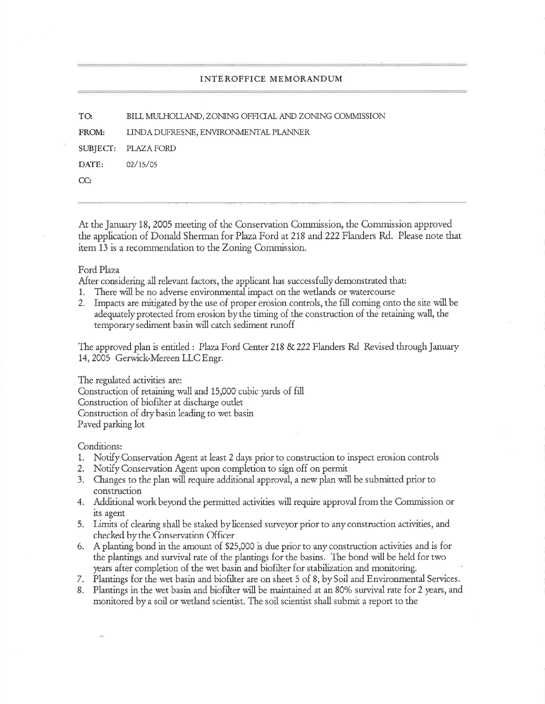TO BILL MULHOLLAND, ZONING OFFICIAL AND ZONING COMMISSION

FROM: LINDA DUFRESNE, ENVIRONMENTAL PLANNER

SUBJECT: PLAZAFORD

DATE: 02/15/05

CC:

At the January 18, 2005 meeting of the Conservation Commission, the Commission approved the application of Donald Sherman for Plaza Ford at 218 and 222 Flanders Rd. Please note that item 13 is a recommendation to the Zoning Commission.

## Ford Plaza

After considering all relevant factors, the applicant has successfully demonstrated that:

- 1. There will be no adverse environmental impact on the wetlands or watercourse
- 2. Impacts are mitigated bythe use of proper erosion controls, the fill coming onto the site will be adequately protected from erosion by the timing of the construction of the retaining wall, the temporarysediment basin will catch sediment runoff

The approved plan is entitled : Plaza Ford Center 218 & 222 Flanders Rd Revised through January 14, 2005 Gerwick-Mereen LLC Engr.

The regulated activities are: Construction of retaining wall and 15,000 cubic yards of fill Construction of biofilter at discharge outlet Construction of dry basin leading to wet basin Paved parking lot

Conditions:

- 1. Notify Conservation Agent at least 2 days prior to construction to inspect erosion controls
- 2. Notify Conservation Agent upon completion to sign off on permit
- 3. Changes to the plan will require additional approval, a new plan will be submitted prior to construction
- 4. Additional work beyond the permitted activities will require approval from the Commission or its agent
- 5. Limits of clearing shall be staked by licensed surveyor prior to any construction activities, and checked hy the Cnnservation C)fficer
- 6. <sup>A</sup>planting bond in the amount of \$2S,000 is due prior to any construction activities and is for the plantings and survival rate of the plantings Ior the basins. 'lhe bond will be held for two years after completion of the wet basin and biofiker for stabilization and monitoring.
- 7. Plantings for the wet basin and biofilter are on sheet 5 of 8, by Soil and Environmental Services.
- 8. Plantings in the wet basin and biofiher will be maintained at an 80% survival rate for 2 years, and monitored bya soil or wetland scientist. The soil scientist shall submit a report to the